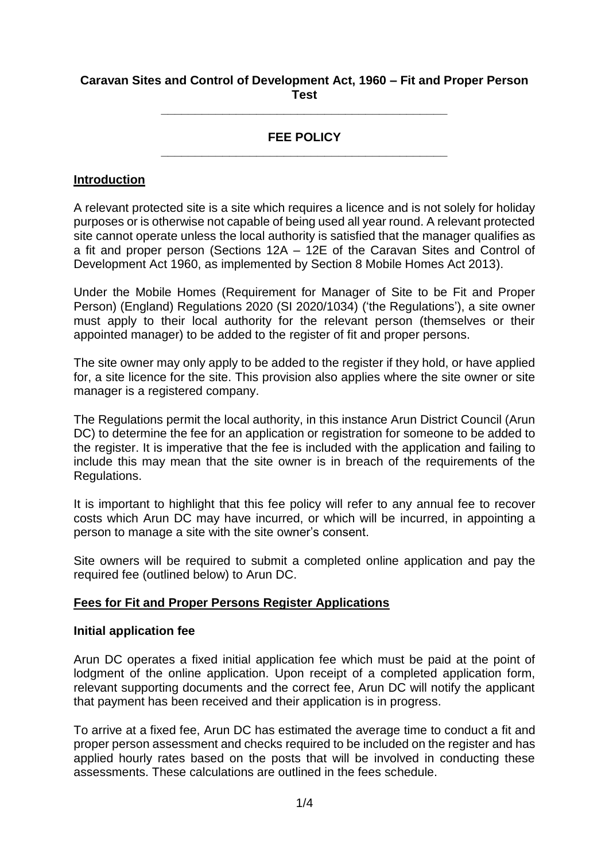## **Caravan Sites and Control of Development Act, 1960 – Fit and Proper Person Test**

**\_\_\_\_\_\_\_\_\_\_\_\_\_\_\_\_\_\_\_\_\_\_\_\_\_\_\_\_\_\_\_\_\_\_\_\_\_\_\_\_\_\_**

# **FEE POLICY \_\_\_\_\_\_\_\_\_\_\_\_\_\_\_\_\_\_\_\_\_\_\_\_\_\_\_\_\_\_\_\_\_\_\_\_\_\_\_\_\_\_**

### **Introduction**

A relevant protected site is a site which requires a licence and is not solely for holiday purposes or is otherwise not capable of being used all year round. A relevant protected site cannot operate unless the local authority is satisfied that the manager qualifies as a fit and proper person (Sections 12A – 12E of the Caravan Sites and Control of Development Act 1960, as implemented by Section 8 Mobile Homes Act 2013).

Under the Mobile Homes (Requirement for Manager of Site to be Fit and Proper Person) (England) Regulations 2020 (SI 2020/1034) ('the Regulations'), a site owner must apply to their local authority for the relevant person (themselves or their appointed manager) to be added to the register of fit and proper persons.

The site owner may only apply to be added to the register if they hold, or have applied for, a site licence for the site. This provision also applies where the site owner or site manager is a registered company.

The Regulations permit the local authority, in this instance Arun District Council (Arun DC) to determine the fee for an application or registration for someone to be added to the register. It is imperative that the fee is included with the application and failing to include this may mean that the site owner is in breach of the requirements of the Regulations.

It is important to highlight that this fee policy will refer to any annual fee to recover costs which Arun DC may have incurred, or which will be incurred, in appointing a person to manage a site with the site owner's consent.

Site owners will be required to submit a completed online application and pay the required fee (outlined below) to Arun DC.

## **Fees for Fit and Proper Persons Register Applications**

### **Initial application fee**

Arun DC operates a fixed initial application fee which must be paid at the point of lodgment of the online application. Upon receipt of a completed application form, relevant supporting documents and the correct fee, Arun DC will notify the applicant that payment has been received and their application is in progress.

To arrive at a fixed fee, Arun DC has estimated the average time to conduct a fit and proper person assessment and checks required to be included on the register and has applied hourly rates based on the posts that will be involved in conducting these assessments. These calculations are outlined in the fees schedule.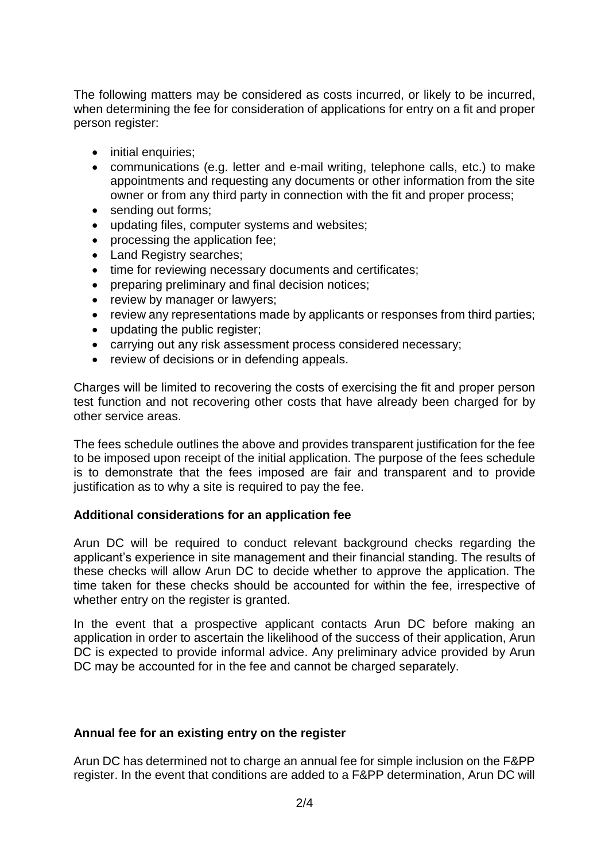The following matters may be considered as costs incurred, or likely to be incurred, when determining the fee for consideration of applications for entry on a fit and proper person register:

- initial enquiries:
- communications (e.g. letter and e-mail writing, telephone calls, etc.) to make appointments and requesting any documents or other information from the site owner or from any third party in connection with the fit and proper process;
- sending out forms;
- updating files, computer systems and websites;
- processing the application fee;
- Land Registry searches;
- time for reviewing necessary documents and certificates;
- preparing preliminary and final decision notices;
- review by manager or lawyers;
- review any representations made by applicants or responses from third parties;
- updating the public register;
- carrying out any risk assessment process considered necessary;
- review of decisions or in defending appeals.

Charges will be limited to recovering the costs of exercising the fit and proper person test function and not recovering other costs that have already been charged for by other service areas.

The fees schedule outlines the above and provides transparent justification for the fee to be imposed upon receipt of the initial application. The purpose of the fees schedule is to demonstrate that the fees imposed are fair and transparent and to provide justification as to why a site is required to pay the fee.

## **Additional considerations for an application fee**

Arun DC will be required to conduct relevant background checks regarding the applicant's experience in site management and their financial standing. The results of these checks will allow Arun DC to decide whether to approve the application. The time taken for these checks should be accounted for within the fee, irrespective of whether entry on the register is granted.

In the event that a prospective applicant contacts Arun DC before making an application in order to ascertain the likelihood of the success of their application, Arun DC is expected to provide informal advice. Any preliminary advice provided by Arun DC may be accounted for in the fee and cannot be charged separately.

## **Annual fee for an existing entry on the register**

Arun DC has determined not to charge an annual fee for simple inclusion on the F&PP register. In the event that conditions are added to a F&PP determination, Arun DC will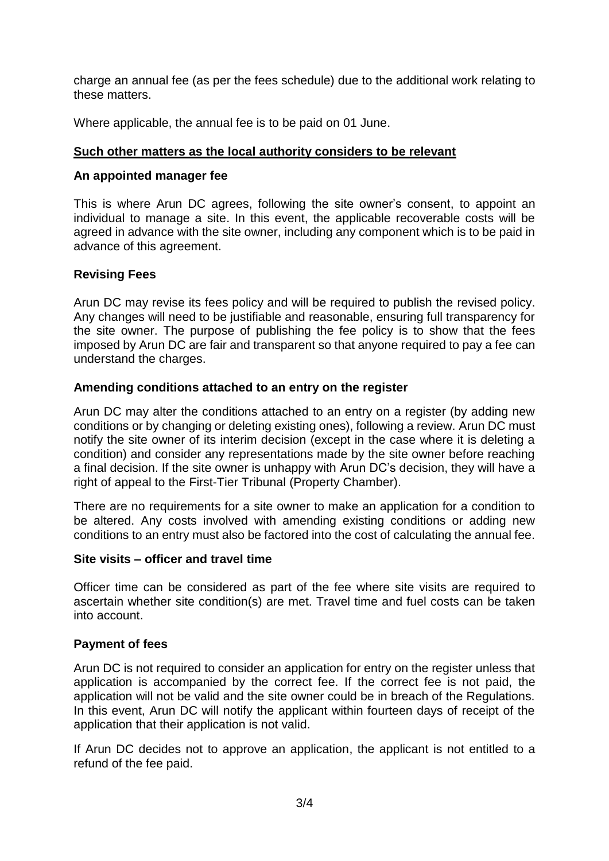charge an annual fee (as per the fees schedule) due to the additional work relating to these matters.

Where applicable, the annual fee is to be paid on 01 June.

# **Such other matters as the local authority considers to be relevant**

## **An appointed manager fee**

This is where Arun DC agrees, following the site owner's consent, to appoint an individual to manage a site. In this event, the applicable recoverable costs will be agreed in advance with the site owner, including any component which is to be paid in advance of this agreement.

## **Revising Fees**

Arun DC may revise its fees policy and will be required to publish the revised policy. Any changes will need to be justifiable and reasonable, ensuring full transparency for the site owner. The purpose of publishing the fee policy is to show that the fees imposed by Arun DC are fair and transparent so that anyone required to pay a fee can understand the charges.

### **Amending conditions attached to an entry on the register**

Arun DC may alter the conditions attached to an entry on a register (by adding new conditions or by changing or deleting existing ones), following a review. Arun DC must notify the site owner of its interim decision (except in the case where it is deleting a condition) and consider any representations made by the site owner before reaching a final decision. If the site owner is unhappy with Arun DC's decision, they will have a right of appeal to the First-Tier Tribunal (Property Chamber).

There are no requirements for a site owner to make an application for a condition to be altered. Any costs involved with amending existing conditions or adding new conditions to an entry must also be factored into the cost of calculating the annual fee.

### **Site visits – officer and travel time**

Officer time can be considered as part of the fee where site visits are required to ascertain whether site condition(s) are met. Travel time and fuel costs can be taken into account.

## **Payment of fees**

Arun DC is not required to consider an application for entry on the register unless that application is accompanied by the correct fee. If the correct fee is not paid, the application will not be valid and the site owner could be in breach of the Regulations. In this event, Arun DC will notify the applicant within fourteen days of receipt of the application that their application is not valid.

If Arun DC decides not to approve an application, the applicant is not entitled to a refund of the fee paid.